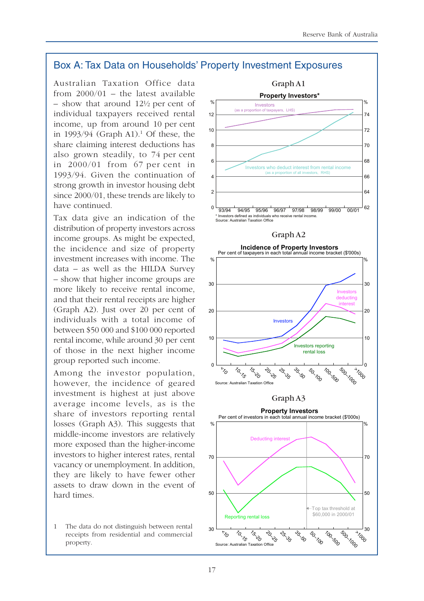## Box A: Tax Data on Households' Property Investment Exposures

Australian Taxation Office data from 2000/01 – the latest available – show that around 12½ per cent of individual taxpayers received rental income, up from around 10 per cent in  $1993/94$  (Graph A1).<sup>1</sup> Of these, the share claiming interest deductions has also grown steadily, to 74 per cent in 2000/01 from 67 per cent in 1993/94. Given the continuation of strong growth in investor housing debt since 2000/01, these trends are likely to have continued.

Tax data give an indication of the distribution of property investors across income groups. As might be expected, the incidence and size of property investment increases with income. The data – as well as the HILDA Survey – show that higher income groups are more likely to receive rental income, and that their rental receipts are higher (Graph A2). Just over 20 per cent of individuals with a total income of between \$50 000 and \$100 000 reported rental income, while around 30 per cent of those in the next higher income group reported such income.

Among the investor population, however, the incidence of geared investment is highest at just above average income levels, as is the share of investors reporting rental losses (Graph A3). This suggests that middle-income investors are relatively more exposed than the higher-income investors to higher interest rates, rental vacancy or unemployment. In addition, they are likely to have fewer other assets to draw down in the event of hard times.

1 The data do not distinguish between rental receipts from residential and commercial property.